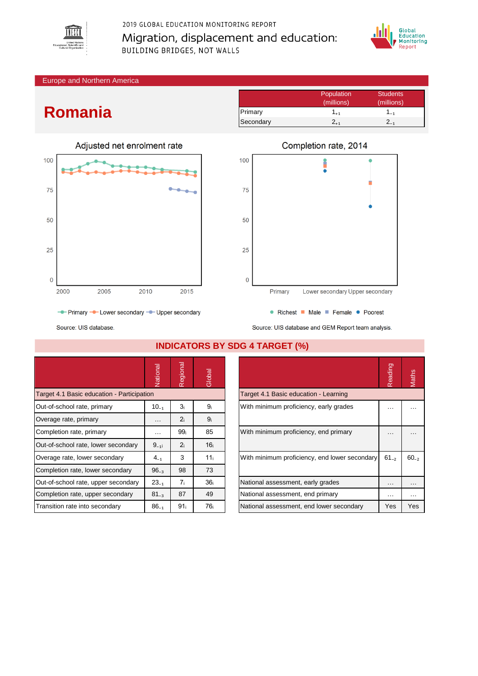

## 2019 GLOBAL EDUCATION MONITORING REPORT Migration, displacement and education: **BUILDING BRIDGES, NOT WALLS**



Europe and Northern America

## **Romania**



Population Students<br>
(millions) (millions) (millions) (millions) Primary 1<sub>+1</sub> 1<sub>-1</sub> Secondary  $2_{+1}$   $2_{-1}$ 



- Primary - Lower secondary - Upper secondary



Source: UIS database.

|                                            | Vational             | Regional        | Global          |                                               | Reading  | Maths    |
|--------------------------------------------|----------------------|-----------------|-----------------|-----------------------------------------------|----------|----------|
| Target 4.1 Basic education - Participation |                      |                 |                 | Target 4.1 Basic education - Learning         |          |          |
| Out-of-school rate, primary                | $10_{-1}$            | 3 <sub>i</sub>  | 9 <sub>i</sub>  | With minimum proficiency, early grades        | .        | $\cdots$ |
| Overage rate, primary                      | $\sim$ $\sim$ $\sim$ | 2 <sub>i</sub>  | 9 <sub>i</sub>  |                                               |          |          |
| Completion rate, primary                   | $\cdots$             | 99 <sub>i</sub> | 85              | With minimum proficiency, end primary         |          | $\cdots$ |
| Out-of-school rate, lower secondary        | $9_{-11}$            | 2 <sub>i</sub>  | 16 <sub>i</sub> |                                               |          |          |
| Overage rate, lower secondary              | $4_{-1}$             | 3               | 11 <sub>i</sub> | With minimum proficiency, end lower secondary |          | $60 - 2$ |
| Completion rate, lower secondary           | $96_{-3}$            | 98              | 73              |                                               |          |          |
| Out-of-school rate, upper secondary        | $23_{-1}$            | 7 <sub>i</sub>  | 36 <sub>i</sub> | National assessment, early grades             | $\cdots$ | $\cdots$ |
| Completion rate, upper secondary           | $81_{-3}$            | 87              | 49              | National assessment, end primary              | $\cdots$ | $\cdots$ |
| Transition rate into secondary             | $86_{-1}$            | 91 <sub>i</sub> | 76 i            | National assessment, end lower secondary      | Yes      | Yes      |

## **INDICATORS BY SDG 4 TARGET (%)**

| Reading   |      |
|-----------|------|
|           |      |
|           |      |
|           |      |
| $61_{-2}$ | 60.5 |
|           |      |
|           |      |
| Yes       | Yes  |
|           |      |